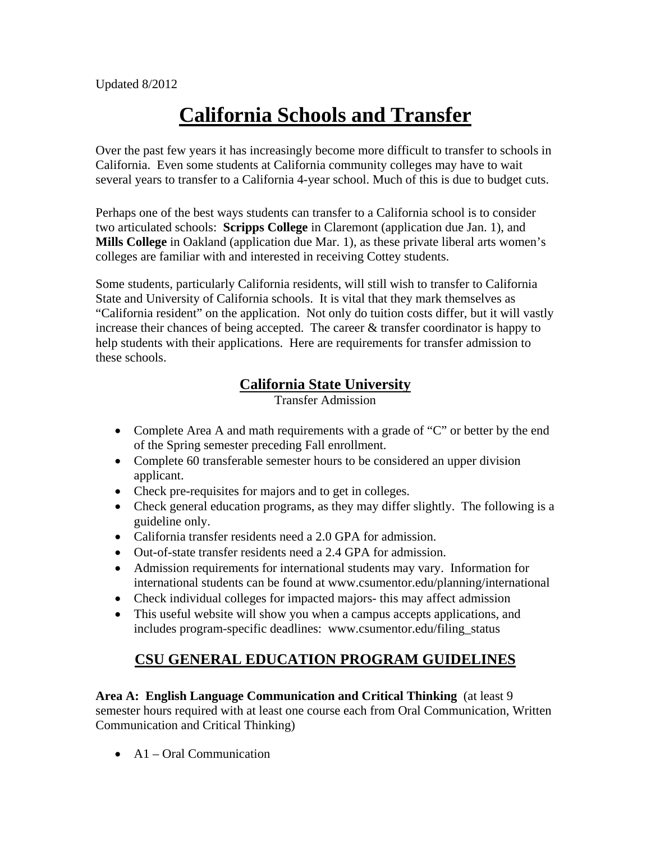# **California Schools and Transfer**

Over the past few years it has increasingly become more difficult to transfer to schools in California. Even some students at California community colleges may have to wait several years to transfer to a California 4-year school. Much of this is due to budget cuts.

Perhaps one of the best ways students can transfer to a California school is to consider two articulated schools: **Scripps College** in Claremont (application due Jan. 1), and **Mills College** in Oakland (application due Mar. 1), as these private liberal arts women's colleges are familiar with and interested in receiving Cottey students.

Some students, particularly California residents, will still wish to transfer to California State and University of California schools. It is vital that they mark themselves as "California resident" on the application. Not only do tuition costs differ, but it will vastly increase their chances of being accepted. The career & transfer coordinator is happy to help students with their applications. Here are requirements for transfer admission to these schools.

# **California State University**

Transfer Admission

- Complete Area A and math requirements with a grade of "C" or better by the end of the Spring semester preceding Fall enrollment.
- Complete 60 transferable semester hours to be considered an upper division applicant.
- Check pre-requisites for majors and to get in colleges.
- Check general education programs, as they may differ slightly. The following is a guideline only.
- California transfer residents need a 2.0 GPA for admission.
- Out-of-state transfer residents need a 2.4 GPA for admission.
- Admission requirements for international students may vary. Information for international students can be found at www.csumentor.edu/planning/international
- Check individual colleges for impacted majors- this may affect admission
- This useful website will show you when a campus accepts applications, and includes program-specific deadlines: www.csumentor.edu/filing\_status

# **CSU GENERAL EDUCATION PROGRAM GUIDELINES**

**Area A: English Language Communication and Critical Thinking** (at least 9 semester hours required with at least one course each from Oral Communication, Written Communication and Critical Thinking)

 $\bullet$  A1 – Oral Communication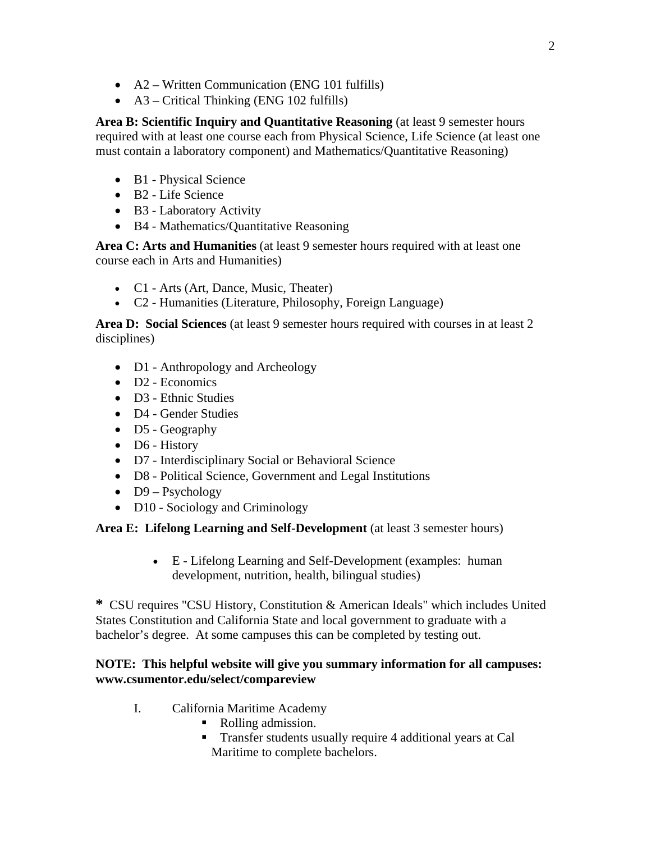- A2 Written Communication (ENG 101 fulfills)
- $\bullet$  A3 Critical Thinking (ENG 102 fulfills)

Area B: Scientific Inquiry and Quantitative Reasoning (at least 9 semester hours required with at least one course each from Physical Science, Life Science (at least one must contain a laboratory component) and Mathematics/Quantitative Reasoning)

- B1 Physical Science
- B2 Life Science
- B3 Laboratory Activity
- B4 Mathematics/Quantitative Reasoning

**Area C: Arts and Humanities** (at least 9 semester hours required with at least one course each in Arts and Humanities)

- C1 Arts (Art, Dance, Music, Theater)
- C2 Humanities (Literature, Philosophy, Foreign Language)

**Area D: Social Sciences** (at least 9 semester hours required with courses in at least 2 disciplines)

- D1 Anthropology and Archeology
- D<sub>2</sub> Economics
- D3 Ethnic Studies
- D4 Gender Studies
- D5 Geography
- D6 History
- D7 Interdisciplinary Social or Behavioral Science
- D8 Political Science, Government and Legal Institutions
- $\bullet$  D9 Psychology
- D10 Sociology and Criminology

**Area E: Lifelong Learning and Self-Development** (at least 3 semester hours)

 E - Lifelong Learning and Self-Development (examples: human development, nutrition, health, bilingual studies)

**\*** CSU requires "CSU History, Constitution & American Ideals" which includes United States Constitution and California State and local government to graduate with a bachelor's degree. At some campuses this can be completed by testing out.

## **NOTE: This helpful website will give you summary information for all campuses: www.csumentor.edu/select/compareview**

- I. California Maritime Academy
	- Rolling admission.
	- **Transfer students usually require 4 additional years at Cal** Maritime to complete bachelors.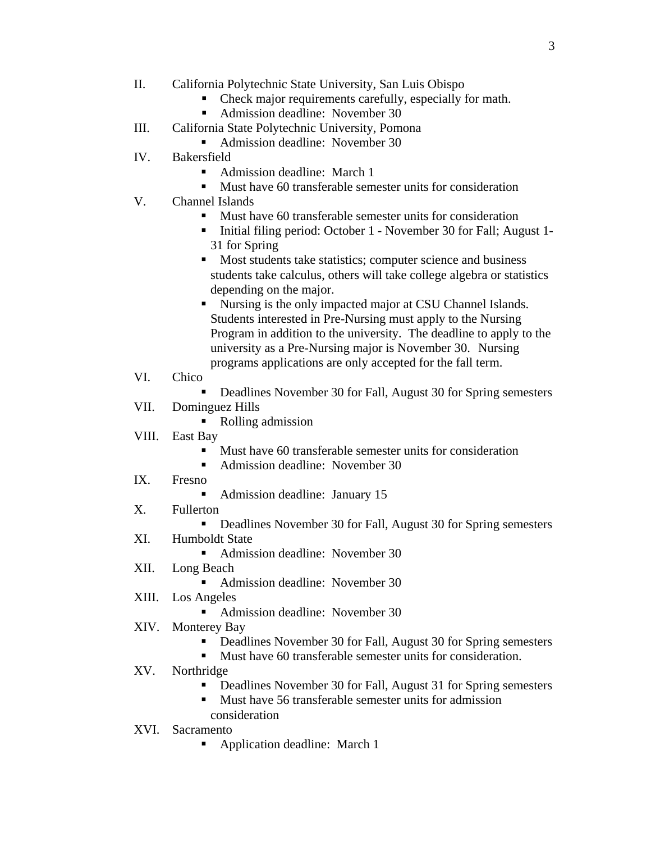- II. California Polytechnic State University, San Luis Obispo
	- Check major requirements carefully, especially for math.
	- Admission deadline: November 30
- III. California State Polytechnic University, Pomona
	- Admission deadline: November 30
- IV. Bakersfield
	- Admission deadline: March 1
	- **Must have 60 transferable semester units for consideration**
- V. Channel Islands
	- **Must have 60 transferable semester units for consideration**
	- Initial filing period: October 1 November 30 for Fall; August 1-31 for Spring
	- **Most students take statistics; computer science and business** students take calculus, others will take college algebra or statistics depending on the major.
	- Nursing is the only impacted major at CSU Channel Islands. Students interested in Pre-Nursing must apply to the Nursing Program in addition to the university. The deadline to apply to the university as a Pre-Nursing major is November 30. Nursing programs applications are only accepted for the fall term.
- VI. Chico
	- Deadlines November 30 for Fall, August 30 for Spring semesters
- VII. Dominguez Hills
	- Rolling admission
- VIII. East Bay
	- **Must have 60 transferable semester units for consideration**
	- Admission deadline: November 30
- IX. Fresno
	- Admission deadline: January 15
- X. Fullerton
	- Deadlines November 30 for Fall, August 30 for Spring semesters
- XI. Humboldt State
	- Admission deadline: November 30
- XII. Long Beach
	- Admission deadline: November 30
- XIII. Los Angeles
	- Admission deadline: November 30
- XIV. Monterey Bay
	- Deadlines November 30 for Fall, August 30 for Spring semesters
	- **Must have 60 transferable semester units for consideration.**
- XV. Northridge
	- Deadlines November 30 for Fall, August 31 for Spring semesters
	- Must have 56 transferable semester units for admission consideration
	-
- XVI. Sacramento
	- **•** Application deadline: March 1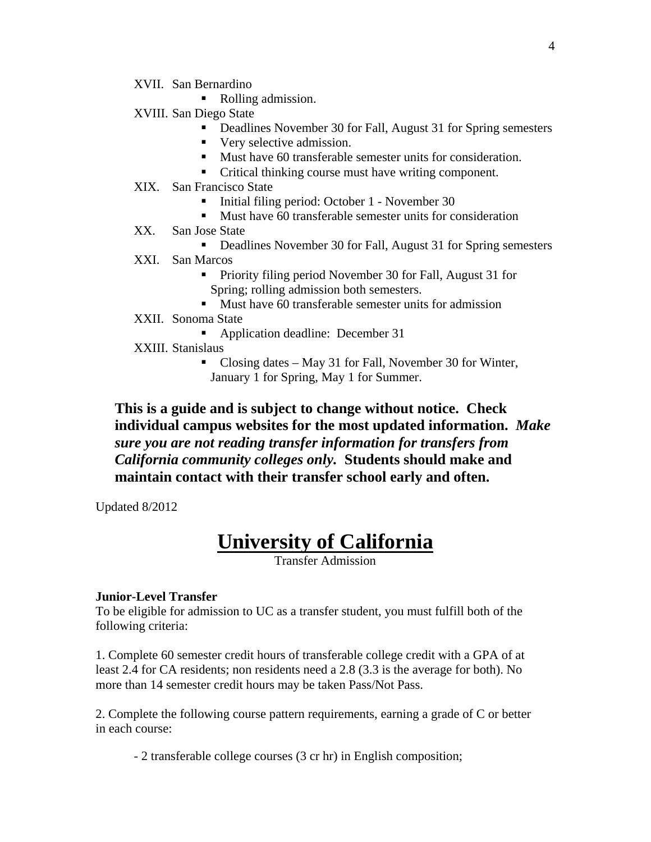- XVII. San Bernardino
	- Rolling admission.
- XVIII. San Diego State
	- Deadlines November 30 for Fall, August 31 for Spring semesters
	- Very selective admission.
	- Must have 60 transferable semester units for consideration.
	- Critical thinking course must have writing component.
- XIX. San Francisco State
	- Initial filing period: October 1 November 30
	- **Must have 60 transferable semester units for consideration**
- XX. San Jose State
	- Deadlines November 30 for Fall, August 31 for Spring semesters
- XXI. San Marcos
	- **Priority filing period November 30 for Fall, August 31 for** Spring; rolling admission both semesters.
	- **Must have 60 transferable semester units for admission**
- XXII. Sonoma State
	- Application deadline: December 31
- XXIII. Stanislaus
	- Closing dates May 31 for Fall, November 30 for Winter, January 1 for Spring, May 1 for Summer.

**This is a guide and is subject to change without notice. Check individual campus websites for the most updated information.** *Make sure you are not reading transfer information for transfers from California community colleges only.* **Students should make and maintain contact with their transfer school early and often.** 

Updated 8/2012

# **University of California**

Transfer Admission

#### **Junior-Level Transfer**

To be eligible for admission to UC as a transfer student, you must fulfill both of the following criteria:

1. Complete 60 semester credit hours of transferable college credit with a GPA of at least 2.4 for CA residents; non residents need a 2.8 (3.3 is the average for both). No more than 14 semester credit hours may be taken Pass/Not Pass.

2. Complete the following course pattern requirements, earning a grade of C or better in each course:

- 2 transferable college courses (3 cr hr) in English composition;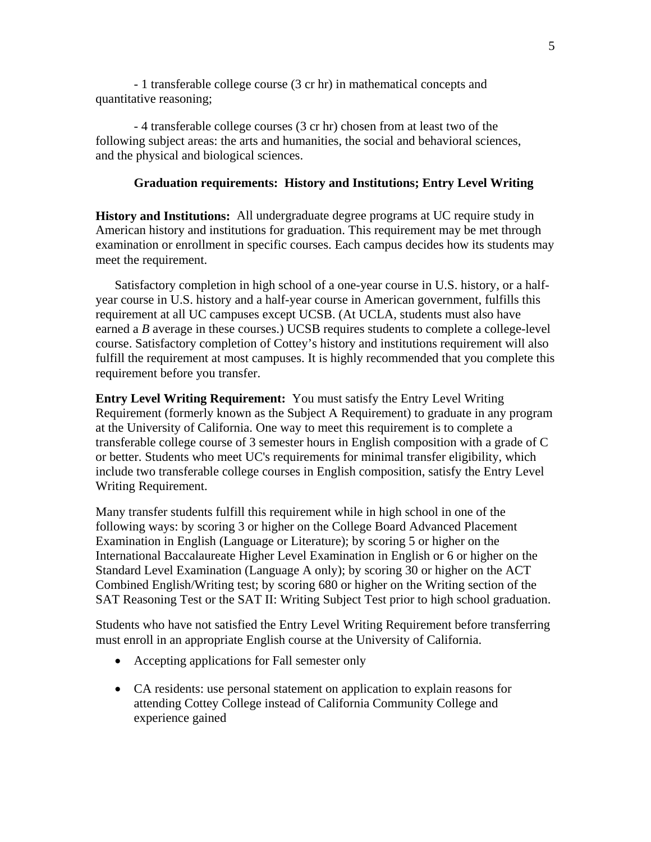- 1 transferable college course (3 cr hr) in mathematical concepts and quantitative reasoning;

- 4 transferable college courses (3 cr hr) chosen from at least two of the following subject areas: the arts and humanities, the social and behavioral sciences, and the physical and biological sciences.

#### **Graduation requirements: History and Institutions; Entry Level Writing**

**History and Institutions:** All undergraduate degree programs at UC require study in American history and institutions for graduation. This requirement may be met through examination or enrollment in specific courses. Each campus decides how its students may meet the requirement.

Satisfactory completion in high school of a one-year course in U.S. history, or a halfyear course in U.S. history and a half-year course in American government, fulfills this requirement at all UC campuses except UCSB. (At UCLA, students must also have earned a *B* average in these courses.) UCSB requires students to complete a college-level course. Satisfactory completion of Cottey's history and institutions requirement will also fulfill the requirement at most campuses. It is highly recommended that you complete this requirement before you transfer.

**Entry Level Writing Requirement:** You must satisfy the Entry Level Writing Requirement (formerly known as the Subject A Requirement) to graduate in any program at the University of California. One way to meet this requirement is to complete a transferable college course of 3 semester hours in English composition with a grade of C or better. Students who meet UC's requirements for minimal transfer eligibility, which include two transferable college courses in English composition, satisfy the Entry Level Writing Requirement.

Many transfer students fulfill this requirement while in high school in one of the following ways: by scoring 3 or higher on the College Board Advanced Placement Examination in English (Language or Literature); by scoring 5 or higher on the International Baccalaureate Higher Level Examination in English or 6 or higher on the Standard Level Examination (Language A only); by scoring 30 or higher on the ACT Combined English/Writing test; by scoring 680 or higher on the Writing section of the SAT Reasoning Test or the SAT II: Writing Subject Test prior to high school graduation.

Students who have not satisfied the Entry Level Writing Requirement before transferring must enroll in an appropriate English course at the University of California.

- Accepting applications for Fall semester only
- CA residents: use personal statement on application to explain reasons for attending Cottey College instead of California Community College and experience gained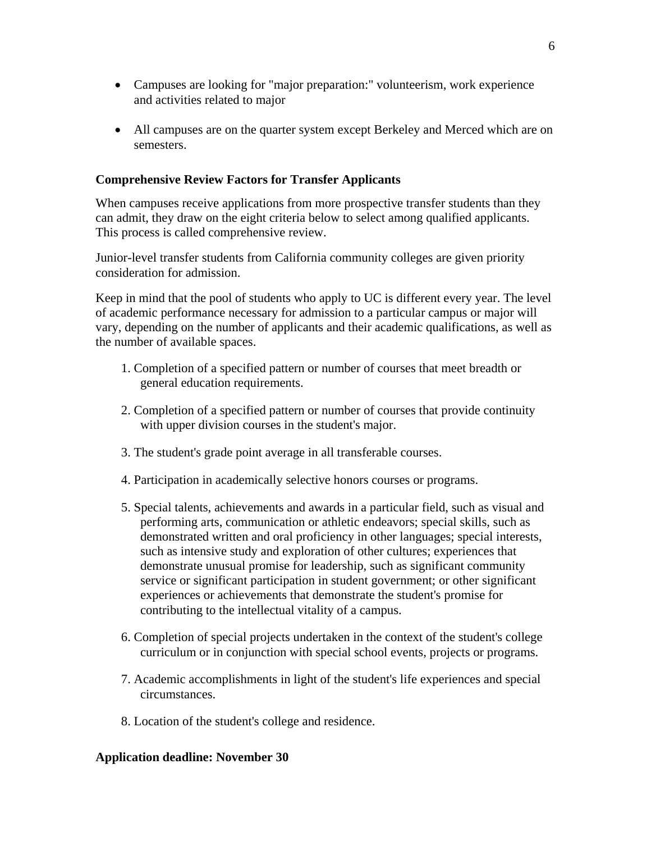- Campuses are looking for "major preparation:" volunteerism, work experience and activities related to major
- All campuses are on the quarter system except Berkeley and Merced which are on semesters.

### **Comprehensive Review Factors for Transfer Applicants**

When campuses receive applications from more prospective transfer students than they can admit, they draw on the eight criteria below to select among qualified applicants. This process is called comprehensive review.

Junior-level transfer students from California community colleges are given priority consideration for admission.

Keep in mind that the pool of students who apply to UC is different every year. The level of academic performance necessary for admission to a particular campus or major will vary, depending on the number of applicants and their academic qualifications, as well as the number of available spaces.

- 1. Completion of a specified pattern or number of courses that meet breadth or general education requirements.
- 2. Completion of a specified pattern or number of courses that provide continuity with upper division courses in the student's major.
- 3. The student's grade point average in all transferable courses.
- 4. Participation in academically selective honors courses or programs.
- 5. Special talents, achievements and awards in a particular field, such as visual and performing arts, communication or athletic endeavors; special skills, such as demonstrated written and oral proficiency in other languages; special interests, such as intensive study and exploration of other cultures; experiences that demonstrate unusual promise for leadership, such as significant community service or significant participation in student government; or other significant experiences or achievements that demonstrate the student's promise for contributing to the intellectual vitality of a campus.
- 6. Completion of special projects undertaken in the context of the student's college curriculum or in conjunction with special school events, projects or programs.
- 7. Academic accomplishments in light of the student's life experiences and special circumstances.
- 8. Location of the student's college and residence.

#### **Application deadline: November 30**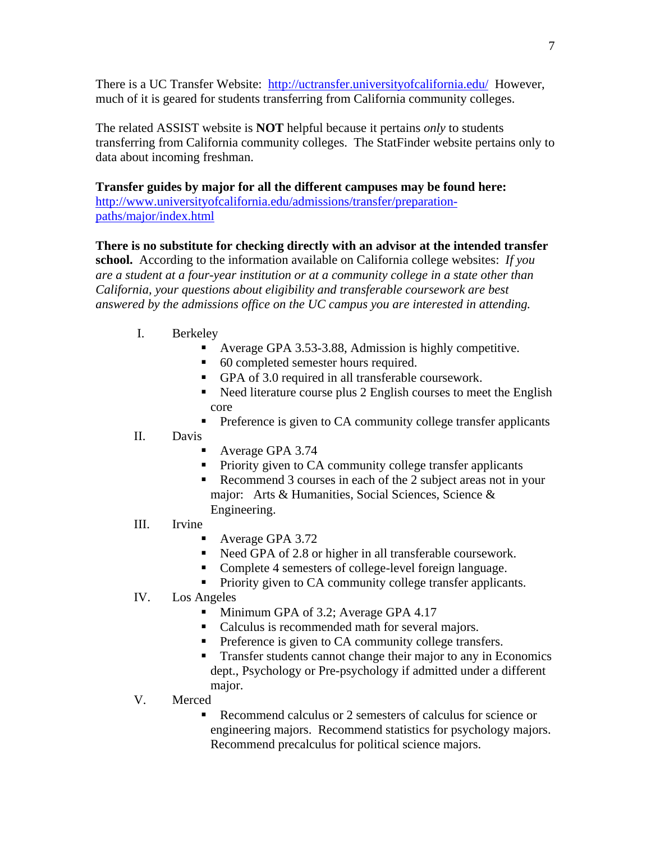There is a UC Transfer Website: http://uctransfer.universityofcalifornia.edu/ However, much of it is geared for students transferring from California community colleges.

The related ASSIST website is **NOT** helpful because it pertains *only* to students transferring from California community colleges. The StatFinder website pertains only to data about incoming freshman.

**Transfer guides by major for all the different campuses may be found here:** http://www.universityofcalifornia.edu/admissions/transfer/preparationpaths/major/index.html

# **There is no substitute for checking directly with an advisor at the intended transfer**

**school.** According to the information available on California college websites: *If you are a student at a four-year institution or at a community college in a state other than California, your questions about eligibility and transferable coursework are best answered by the admissions office on the UC campus you are interested in attending.* 

- I. Berkeley
	- Average GPA 3.53-3.88, Admission is highly competitive.
	- 60 completed semester hours required.
	- GPA of 3.0 required in all transferable coursework.
	- Need literature course plus 2 English courses to meet the English core
	- **Preference is given to CA community college transfer applicants**
- II. Davis
	- Average GPA 3.74
	- **Priority given to CA community college transfer applicants**
	- Recommend 3 courses in each of the 2 subject areas not in your major: Arts & Humanities, Social Sciences, Science & Engineering.
- III. Irvine
	- Average GPA 3.72
	- Need GPA of 2.8 or higher in all transferable coursework.
	- Complete 4 semesters of college-level foreign language.
	- Priority given to CA community college transfer applicants.

## IV. Los Angeles

- Minimum GPA of 3.2; Average GPA 4.17
- Calculus is recommended math for several majors.
- **Preference is given to CA community college transfers.**
- **Transfer students cannot change their major to any in Economics** dept., Psychology or Pre-psychology if admitted under a different major.

## V. Merced

Recommend calculus or 2 semesters of calculus for science or engineering majors. Recommend statistics for psychology majors. Recommend precalculus for political science majors.